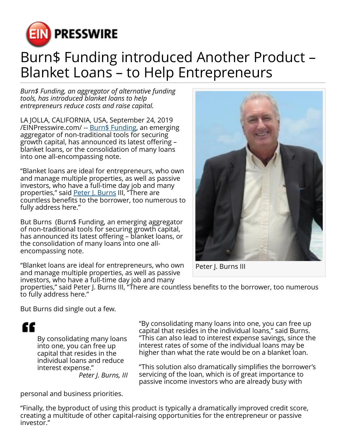

## Burn\$ Funding introduced Another Product – Blanket Loans – to Help Entrepreneurs

*Burn\$ Funding, an aggregator of alternative funding tools, has introduced blanket loans to help entrepreneurs reduce costs and raise capital.*

LA JOLLA, CALIFORNIA, USA, September 24, 2019 [/EINPresswire.com/](http://www.einpresswire.com) -- [Burn\\$ Funding](http://burnsfunding.com/), an emerging aggregator of non-traditional tools for securing growth capital, has announced its latest offering – blanket loans, or the consolidation of many loans into one all-encompassing note.

"Blanket loans are ideal for entrepreneurs, who own and manage multiple properties, as well as passive investors, who have a full-time day job and many properties," said **Peter J. Burns III, "There are** countless benefits to the borrower, too numerous to fully address here."

But Burns (Burn\$ Funding, an emerging aggregator of non-traditional tools for securing growth capital, has announced its latest offering – blanket loans, or the consolidation of many loans into one allencompassing note.

"Blanket loans are ideal for entrepreneurs, who own and manage multiple properties, as well as passive investors, who have a full-time day job and many



Peter J. Burns III

properties," said Peter J. Burns III, "There are countless benefits to the borrower, too numerous to fully address here."

But Burns did single out a few.

££

By consolidating many loans into one, you can free up capital that resides in the individual loans and reduce interest expense." *Peter J. Burns, III* "By consolidating many loans into one, you can free up capital that resides in the individual loans," said Burns. "This can also lead to interest expense savings, since the interest rates of some of the individual loans may be higher than what the rate would be on a blanket loan.

"This solution also dramatically simplifies the borrower's servicing of the loan, which is of great importance to passive income investors who are already busy with

personal and business priorities.

"Finally, the byproduct of using this product is typically a dramatically improved credit score, creating a multitude of other capital-raising opportunities for the entrepreneur or passive investor."